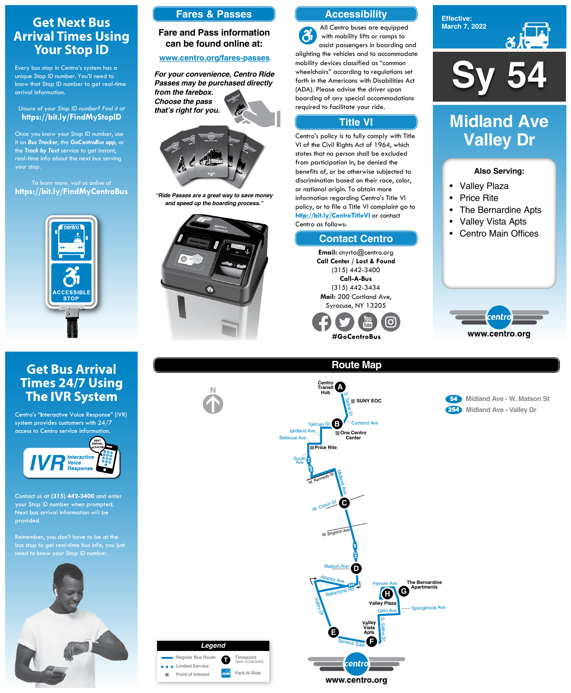



#### **Also Serving:**

- Valley Plaza
- **Price Rite**
- The Bernardine Apts
- Valley Vista Apts
- Centro Main Offices



# **Get Bus Arrival Times 24/7 Using The IVR System**

Centro's "Interactive Voice Response" (IVR) system provides customers with  $24/7$ access to Centro service information.



Contact us at (315) 442-3400 and enter your Stop ID number when prompted.

# **Midland Ave Valley Dr**

**Sy 54**

## **Get Next Bus Arrival Times Using Your Stop ID**

Every bus stop in Centro's system has a unique Stop ID number. You'll need to know that Stop ID number to get real-time arrival information.

#### *Unsure of your Stop ID number? Find it at* **https://bit.ly/FindMyStopID**

Once you know your Stop ID number, use it on *Bus Tracker*, the *GoCentroBus app*, or the *Track by Text* service to get instant, real-time info about the next bus serving your stop.

*To learn more, visit us online at* **https://bit.ly/FindMyCentroBus**



## **Accessibility**

### **Contact Centro**

#### **Title VI**

All Centro buses are equipped  $\mathbf{a}$ with mobility lifts or ramps to assist passengers in boarding and alighting the vehicles and to accommodate mobility devices classified as "common wheelchairs" according to regulations set forth in the Americans with Disabilities Act (ADA). Please advise the driver upon boarding of any special accommodations required to facilitate your ride.

> <sup>254</sup> **Midland Ave - Valley Dr Midland Ave - W. Matson St**

Next bus arrival information will be provided.

Remember, you don't have to be at the bus stop to get real-time bus info, you just need to know your Stop ID number.



Centro's policy is to fully comply with Title VI of the Civil Rights Act of 1964, which states that no person shall be excluded from participation in, be denied the benefits of, or be otherwise subjected to discrimination based on their race, color, or national origin. To obtain more information regarding Centro's Title VI policy, or to file a Title VI complaint go to **http://bit.ly/CentroTitleVI** or contact Centro as follows:

> **Email:** cnyrta@centro.org **Call Center / Lost & Found** (315) 442-3400 **Call-A-Bus** (315) 442-3434 **Mail:** 200 Cortland Ave, Syracuse, NY 13205



#### **Fares & Passes**

#### **Fare and Pass information can be found online at:**

#### **www.centro.org/fares-passes**



*"Ride Passes are a great way to save money and speed up the boarding process."*



*For your convenience, Centro Ride Passes may be purchased directly from the farebox. Choose the pass that's right for you.*





*Legend*

35

**Limited Service Point of Interest**

**Regular Bus Route**